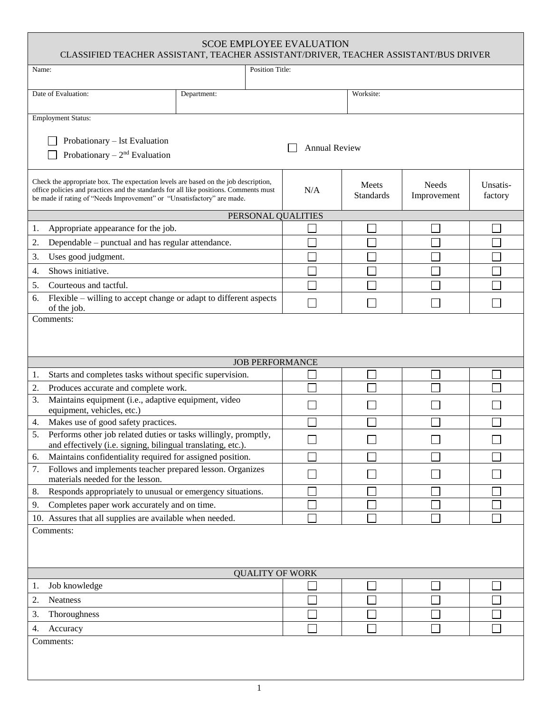| <b>SCOE EMPLOYEE EVALUATION</b><br>CLASSIFIED TEACHER ASSISTANT, TEACHER ASSISTANT/DRIVER, TEACHER ASSISTANT/BUS DRIVER                                                                                                                                |                                              |     |                           |                      |                     |
|--------------------------------------------------------------------------------------------------------------------------------------------------------------------------------------------------------------------------------------------------------|----------------------------------------------|-----|---------------------------|----------------------|---------------------|
| <b>Position Title:</b><br>Name:                                                                                                                                                                                                                        |                                              |     |                           |                      |                     |
| Date of Evaluation:                                                                                                                                                                                                                                    | Department:                                  |     | Worksite:                 |                      |                     |
| <b>Employment Status:</b>                                                                                                                                                                                                                              |                                              |     |                           |                      |                     |
| Probationary - 1st Evaluation<br><b>Annual Review</b><br>Probationary $-2nd$ Evaluation                                                                                                                                                                |                                              |     |                           |                      |                     |
| Check the appropriate box. The expectation levels are based on the job description,<br>office policies and practices and the standards for all like positions. Comments must<br>be made if rating of "Needs Improvement" or "Unsatisfactory" are made. |                                              | N/A | Meets<br><b>Standards</b> | Needs<br>Improvement | Unsatis-<br>factory |
|                                                                                                                                                                                                                                                        | PERSONAL QUALITIES                           |     |                           |                      |                     |
| Appropriate appearance for the job.<br>1.                                                                                                                                                                                                              |                                              |     |                           |                      |                     |
| Dependable – punctual and has regular attendance.<br>2.                                                                                                                                                                                                |                                              |     |                           |                      |                     |
| Uses good judgment.<br>3.                                                                                                                                                                                                                              |                                              |     |                           |                      |                     |
| Shows initiative.<br>4.                                                                                                                                                                                                                                |                                              |     |                           |                      |                     |
| 5.<br>Courteous and tactful.                                                                                                                                                                                                                           |                                              |     |                           |                      |                     |
| Flexible – willing to accept change or adapt to different aspects<br>6.                                                                                                                                                                                |                                              |     |                           |                      |                     |
| of the job.<br>Comments:                                                                                                                                                                                                                               |                                              |     |                           |                      |                     |
|                                                                                                                                                                                                                                                        | <b>JOB PERFORMANCE</b>                       |     |                           |                      |                     |
| Starts and completes tasks without specific supervision.<br>1.                                                                                                                                                                                         |                                              |     |                           |                      |                     |
| 2.<br>Produces accurate and complete work.                                                                                                                                                                                                             |                                              |     |                           |                      |                     |
| Maintains equipment (i.e., adaptive equipment, video<br>3.<br>equipment, vehicles, etc.)                                                                                                                                                               |                                              |     |                           |                      |                     |
| Makes use of good safety practices.<br>4.                                                                                                                                                                                                              |                                              |     |                           |                      |                     |
| Performs other job related duties or tasks willingly, promptly,<br>5.<br>and effectively (i.e. signing, bilingual translating, etc.).                                                                                                                  |                                              |     |                           |                      |                     |
| Maintains confidentiality required for assigned position.<br>6.                                                                                                                                                                                        |                                              |     |                           |                      |                     |
| Follows and implements teacher prepared lesson. Organizes<br>7.<br>materials needed for the lesson.                                                                                                                                                    |                                              |     |                           |                      |                     |
| Responds appropriately to unusual or emergency situations.<br>8.                                                                                                                                                                                       |                                              |     |                           |                      |                     |
| 9.                                                                                                                                                                                                                                                     | Completes paper work accurately and on time. |     |                           |                      |                     |
| 10. Assures that all supplies are available when needed.                                                                                                                                                                                               |                                              |     |                           |                      |                     |
| Comments:                                                                                                                                                                                                                                              |                                              |     |                           |                      |                     |
|                                                                                                                                                                                                                                                        | <b>QUALITY OF WORK</b>                       |     |                           |                      |                     |
| Job knowledge<br>1.                                                                                                                                                                                                                                    |                                              |     |                           |                      |                     |
| 2.<br><b>Neatness</b>                                                                                                                                                                                                                                  |                                              |     |                           |                      |                     |
| Thoroughness<br>3.                                                                                                                                                                                                                                     |                                              |     |                           |                      |                     |
| 4.<br>Accuracy<br>Comments:                                                                                                                                                                                                                            |                                              |     |                           |                      |                     |
|                                                                                                                                                                                                                                                        |                                              |     |                           |                      |                     |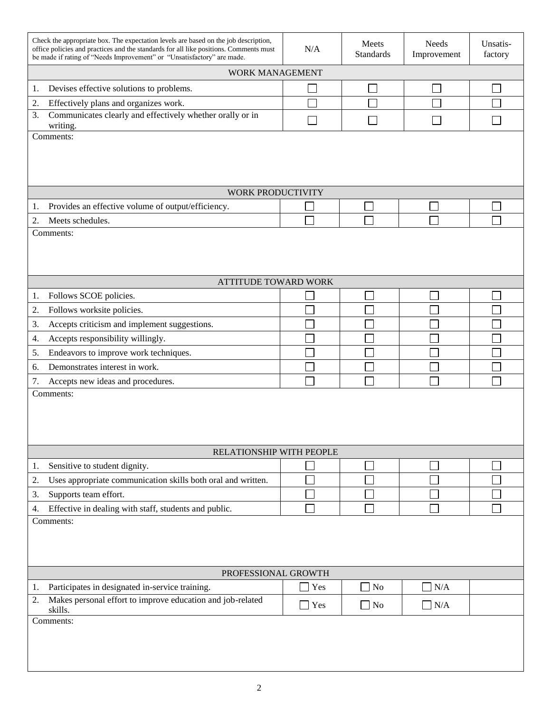| Check the appropriate box. The expectation levels are based on the job description,<br>office policies and practices and the standards for all like positions. Comments must<br>be made if rating of "Needs Improvement" or "Unsatisfactory" are made. | N/A | Meets<br><b>Standards</b> | Needs<br>Improvement | Unsatis-<br>factory |
|--------------------------------------------------------------------------------------------------------------------------------------------------------------------------------------------------------------------------------------------------------|-----|---------------------------|----------------------|---------------------|
| <b>WORK MANAGEMENT</b>                                                                                                                                                                                                                                 |     |                           |                      |                     |
| Devises effective solutions to problems.<br>1.                                                                                                                                                                                                         |     |                           |                      |                     |
| Effectively plans and organizes work.<br>2.                                                                                                                                                                                                            |     |                           |                      |                     |
| Communicates clearly and effectively whether orally or in<br>3.<br>writing.                                                                                                                                                                            |     |                           |                      |                     |
| Comments:                                                                                                                                                                                                                                              |     |                           |                      |                     |
|                                                                                                                                                                                                                                                        |     |                           |                      |                     |
| WORK PRODUCTIVITY                                                                                                                                                                                                                                      |     |                           |                      |                     |
| Provides an effective volume of output/efficiency.<br>1.                                                                                                                                                                                               |     |                           |                      |                     |
| 2.<br>Meets schedules.                                                                                                                                                                                                                                 |     |                           |                      |                     |
| Comments:                                                                                                                                                                                                                                              |     |                           |                      |                     |
|                                                                                                                                                                                                                                                        |     |                           |                      |                     |
| <b>ATTITUDE TOWARD WORK</b>                                                                                                                                                                                                                            |     |                           |                      |                     |
| Follows SCOE policies.<br>1.                                                                                                                                                                                                                           |     |                           |                      |                     |
| 2.<br>Follows worksite policies.                                                                                                                                                                                                                       |     |                           |                      |                     |
| 3.<br>Accepts criticism and implement suggestions.                                                                                                                                                                                                     |     |                           |                      |                     |
| Accepts responsibility willingly.<br>4.                                                                                                                                                                                                                |     |                           |                      |                     |
| Endeavors to improve work techniques.<br>5.                                                                                                                                                                                                            |     |                           |                      |                     |
| Demonstrates interest in work.<br>6.                                                                                                                                                                                                                   |     |                           |                      |                     |
| 7.<br>Accepts new ideas and procedures.                                                                                                                                                                                                                |     |                           |                      |                     |
| Comments:                                                                                                                                                                                                                                              |     |                           |                      |                     |
|                                                                                                                                                                                                                                                        |     |                           |                      |                     |
|                                                                                                                                                                                                                                                        |     |                           |                      |                     |
|                                                                                                                                                                                                                                                        |     |                           |                      |                     |
| RELATIONSHIP WITH PEOPLE                                                                                                                                                                                                                               |     |                           |                      |                     |
| Sensitive to student dignity.<br>1.                                                                                                                                                                                                                    |     |                           |                      |                     |
| Uses appropriate communication skills both oral and written.<br>2.                                                                                                                                                                                     |     |                           |                      |                     |
| Supports team effort.<br>3.                                                                                                                                                                                                                            |     |                           |                      |                     |
| Effective in dealing with staff, students and public.<br>4.                                                                                                                                                                                            |     |                           |                      |                     |
| Comments:                                                                                                                                                                                                                                              |     |                           |                      |                     |
|                                                                                                                                                                                                                                                        |     |                           |                      |                     |
|                                                                                                                                                                                                                                                        |     |                           |                      |                     |
|                                                                                                                                                                                                                                                        |     |                           |                      |                     |
| PROFESSIONAL GROWTH                                                                                                                                                                                                                                    |     |                           |                      |                     |
| Participates in designated in-service training.<br>1.<br>Makes personal effort to improve education and job-related<br>2.                                                                                                                              | Yes | $\Box$ No                 | $\neg N/A$           |                     |
| skills.                                                                                                                                                                                                                                                | Yes | $\Box$ No                 | $\Box$ N/A           |                     |
| Comments:                                                                                                                                                                                                                                              |     |                           |                      |                     |
|                                                                                                                                                                                                                                                        |     |                           |                      |                     |
|                                                                                                                                                                                                                                                        |     |                           |                      |                     |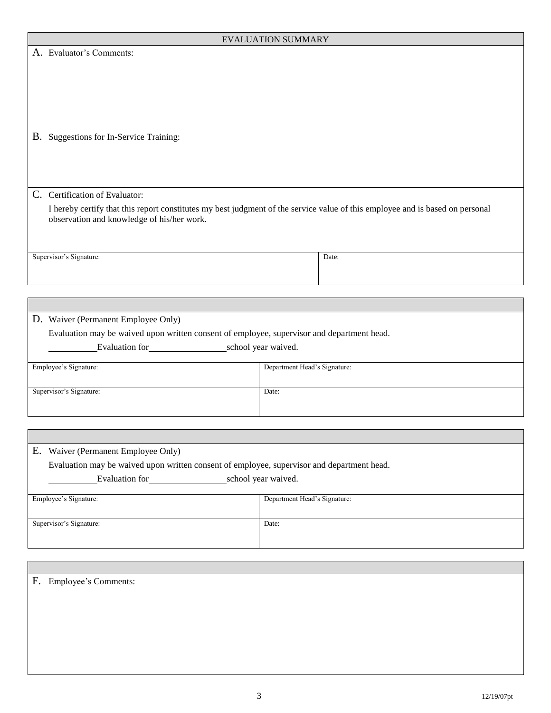|                                                                                                                                                                             | <b>EVALUATION SUMMARY</b>    |       |  |
|-----------------------------------------------------------------------------------------------------------------------------------------------------------------------------|------------------------------|-------|--|
| A. Evaluator's Comments:                                                                                                                                                    |                              |       |  |
| B. Suggestions for In-Service Training:                                                                                                                                     |                              |       |  |
| C. Certification of Evaluator:                                                                                                                                              |                              |       |  |
| I hereby certify that this report constitutes my best judgment of the service value of this employee and is based on personal<br>observation and knowledge of his/her work. |                              |       |  |
| Supervisor's Signature:                                                                                                                                                     |                              | Date: |  |
|                                                                                                                                                                             |                              |       |  |
| D. Waiver (Permanent Employee Only)<br>Evaluation may be waived upon written consent of employee, supervisor and department head.<br>Evaluation for school year waived.     |                              |       |  |
| Employee's Signature:                                                                                                                                                       | Department Head's Signature: |       |  |
| Supervisor's Signature:                                                                                                                                                     | Date:                        |       |  |
|                                                                                                                                                                             |                              |       |  |

| Е.<br>Waiver (Permanent Employee Only)                                                                                                                                                                                                               |                              |  |  |  |
|------------------------------------------------------------------------------------------------------------------------------------------------------------------------------------------------------------------------------------------------------|------------------------------|--|--|--|
| Evaluation may be waived upon written consent of employee, supervisor and department head.                                                                                                                                                           |                              |  |  |  |
| school year waived.<br>Evaluation for the same set of the set of the set of the set of the set of the set of the set of the set of the set of the set of the set of the set of the set of the set of the set of the set of the set of the set of the |                              |  |  |  |
|                                                                                                                                                                                                                                                      |                              |  |  |  |
| Employee's Signature:                                                                                                                                                                                                                                | Department Head's Signature: |  |  |  |
|                                                                                                                                                                                                                                                      |                              |  |  |  |
| Supervisor's Signature:                                                                                                                                                                                                                              | Date:                        |  |  |  |
|                                                                                                                                                                                                                                                      |                              |  |  |  |
|                                                                                                                                                                                                                                                      |                              |  |  |  |

| F. Employee's Comments: |
|-------------------------|
|                         |
|                         |
|                         |
|                         |
|                         |
|                         |
|                         |